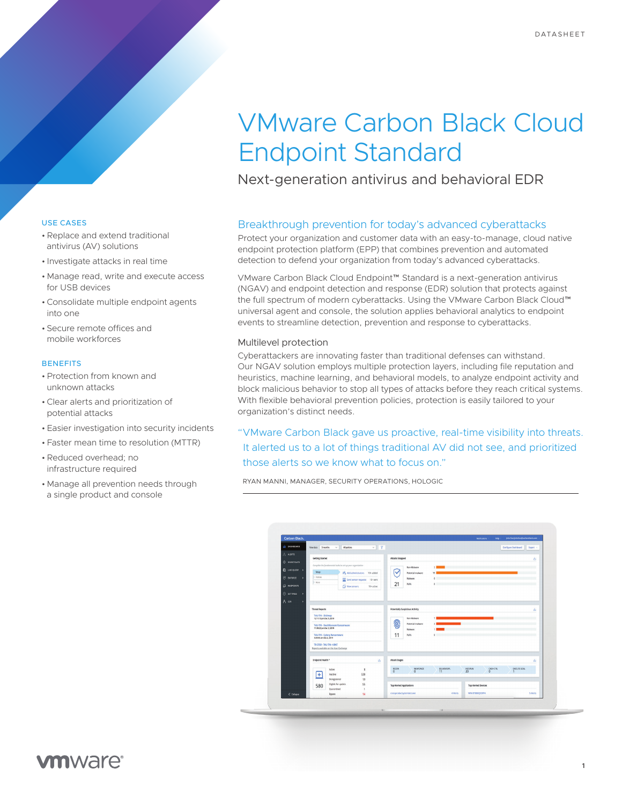# VMware Carbon Black Cloud Endpoint Standard

Next-generation antivirus and behavioral EDR

# USE CASES

- •Replace and extend traditional antivirus (AV) solutions
- Investigate attacks in real time
- Manage read, write and execute access for USB devices
- •Consolidate multiple endpoint agents into one
- Secure remote offices and mobile workforces

# **BENEFITS**

- •Protection from known and unknown attacks
- •Clear alerts and prioritization of potential attacks
- Easier investigation into security incidents
- Faster mean time to resolution (MTTR)
- •Reduced overhead; no infrastructure required
- Manage all prevention needs through a single product and console

## Breakthrough prevention for today's advanced cyberattacks

Protect your organization and customer data with an easy-to-manage, cloud native endpoint protection platform (EPP) that combines prevention and automated detection to defend your organization from today's advanced cyberattacks.

VMware Carbon Black Cloud Endpoint™ Standard is a next-generation antivirus (NGAV) and endpoint detection and response (EDR) solution that protects against the full spectrum of modern cyberattacks. Using the VMware Carbon Black Cloud™ universal agent and console, the solution applies behavioral analytics to endpoint events to streamline detection, prevention and response to cyberattacks.

#### Multilevel protection

Cyberattackers are innovating faster than traditional defenses can withstand. Our NGAV solution employs multiple protection layers, including file reputation and heuristics, machine learning, and behavioral models, to analyze endpoint activity and block malicious behavior to stop all types of attacks before they reach critical systems. With flexible behavioral prevention policies, protection is easily tailored to your organization's distinct needs.

"VMware Carbon Black gave us proactive, real-time visibility into threats. It alerted us to a lot of things traditional AV did not see, and prioritized those alerts so we know what to focus on."

RYAN MANNI, MANAGER, SECURITY OPERATIONS, HOLOGIC



# **vm**ware<sup>®</sup>